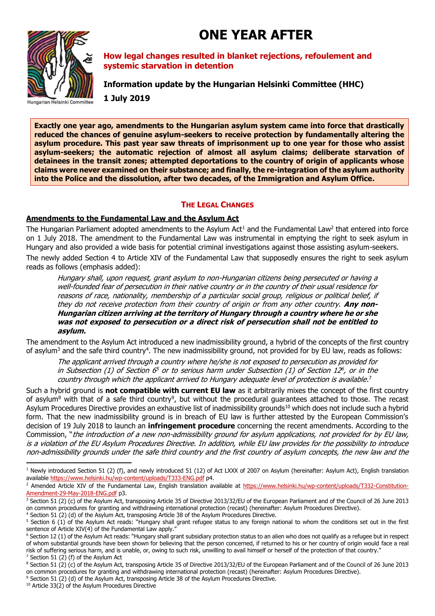# **ONE YEAR AFTER**



**How legal changes resulted in blanket rejections, refoulement and systemic starvation in detention**

**Information update by the Hungarian Helsinki Committee (HHC) 1 July 2019**

**Exactly one year ago, amendments to the Hungarian asylum system came into force that drastically reduced the chances of genuine asylum-seekers to receive protection by fundamentally altering the asylum procedure. This past year saw threats of imprisonment up to one year for those who assist asylum-seekers; the automatic rejection of almost all asylum claims; deliberate starvation of detainees in the transit zones; attempted deportations to the country of origin of applicants whose claims were never examined on their substance; and finally, the re-integration of the asylum authority into the Police and the dissolution, after two decades, of the Immigration and Asylum Office.** 

# **THE LEGAL CHANGES**

#### **Amendments to the Fundamental Law and the Asylum Act**

The Hungarian Parliament adopted amendments to the Asylum Act<sup>1</sup> and the Fundamental Law<sup>2</sup> that entered into force on 1 July 2018. The amendment to the Fundamental Law was instrumental in emptying the right to seek asylum in Hungary and also provided a wide basis for potential criminal investigations against those assisting asylum-seekers.

The newly added Section 4 to Article XIV of the Fundamental Law that supposedly ensures the right to seek asylum reads as follows (emphasis added):

Hungary shall, upon request, grant asylum to non-Hungarian citizens being persecuted or having a well-founded fear of persecution in their native country or in the country of their usual residence for reasons of race, nationality, membership of a particular social group, religious or political belief, if they do not receive protection from their country of origin or from any other country. **Any non-Hungarian citizen arriving at the territory of Hungary through a country where he or she was not exposed to persecution or a direct risk of persecution shall not be entitled to asylum.**

The amendment to the Asylum Act introduced a new inadmissibility ground, a hybrid of the concepts of the first country of asylum<sup>3</sup> and the safe third country<sup>4</sup>. The new inadmissibility ground, not provided for by EU law, reads as follows:

The applicant arrived through a country where he/she is not exposed to persecution as provided for in Subsection (1) of Section 6 <sup>5</sup> or to serious harm under Subsection (1) of Section 12 6 , or in the country through which the applicant arrived to Hungary adequate level of protection is available.<sup>7</sup>

Such a hybrid ground is **not compatible with current EU law** as it arbitrarily mixes the concept of the first country of asylum<sup>8</sup> with that of a safe third country<sup>9</sup>, but without the procedural guarantees attached to those. The recast Asylum Procedures Directive provides an exhaustive list of inadmissibility grounds<sup>10</sup> which does not include such a hybrid form. That the new inadmissibility ground is in breach of EU law is further attested by the European Commission's decision of 19 July 2018 to launch an **infringement procedure** concerning the recent amendments. According to the Commission, "the introduction of a new non-admissibility ground for asylum applications, not provided for by EU law, is a violation of the EU Asylum Procedures Directive. In addition, while EU law provides for the possibility to introduce non-admissibility grounds under the safe third country and the first country of asylum concepts, the new law and the

<sup>6</sup> Section 12 (1) of the Asylum Act reads: "Hungary shall grant subsidiary protection status to an alien who does not qualify as a refugee but in respect of whom substantial grounds have been shown for believing that the person concerned, if returned to his or her country of origin would face a real risk of suffering serious harm, and is unable, or, owing to such risk, unwilling to avail himself or herself of the protection of that country."  $7$  Section 51 (2) (f) of the Asylum Act

**.** 

 $1$  Newly introduced Section 51 (2) (f), and newly introduced 51 (12) of Act LXXX of 2007 on Asylum (hereinafter: Asylum Act), English translation available<https://www.helsinki.hu/wp-content/uploads/T333-ENG.pdf> p4.

<sup>&</sup>lt;sup>2</sup> Amended Article XIV of the Fundamental Law, English translation available at [https://www.helsinki.hu/wp-content/uploads/T332-Constitution-](https://www.helsinki.hu/wp-content/uploads/T332-Constitution-Amendment-29-May-2018-ENG.pdf)[Amendment-29-May-2018-ENG.pdf](https://www.helsinki.hu/wp-content/uploads/T332-Constitution-Amendment-29-May-2018-ENG.pdf) p3.

<sup>&</sup>lt;sup>3</sup> Section 51 (2) (c) of the Asylum Act, transposing Article 35 of Directive 2013/32/EU of the European Parliament and of the Council of 26 June 2013 on common procedures for granting and withdrawing international protection (recast) (hereinafter: Asylum Procedures Directive).

<sup>4</sup> Section 51 (2) (d) of the Asylum Act, transposing Article 38 of the Asylum Procedures Directive.

<sup>&</sup>lt;sup>5</sup> Section 6 (1) of the Asylum Act reads: "Hungary shall grant refugee status to any foreign national to whom the conditions set out in the first sentence of Article XIV(4) of the Fundamental Law apply."

<sup>8</sup> Section 51 (2) (c) of the Asylum Act, transposing Article 35 of Directive 2013/32/EU of the European Parliament and of the Council of 26 June 2013 on common procedures for granting and withdrawing international protection (recast) (hereinafter: Asylum Procedures Directive).

<sup>9</sup> Section 51 (2) (d) of the Asylum Act, transposing Article 38 of the Asylum Procedures Directive.

<sup>&</sup>lt;sup>10</sup> Article 33(2) of the Asylum Procedures Directive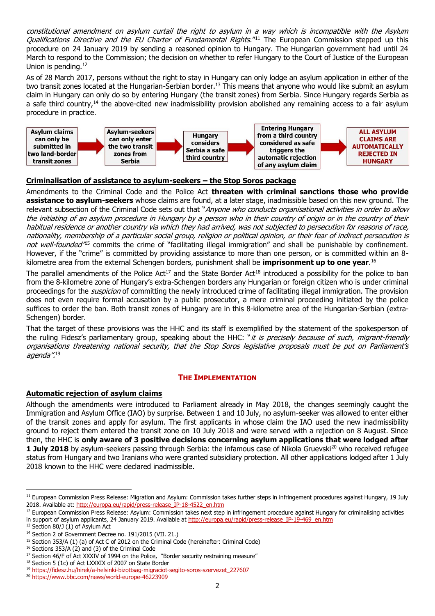constitutional amendment on asylum curtail the right to asylum in a way which is incompatible with the Asylum Qualifications Directive and the EU Charter of Fundamental Rights."<sup>11</sup> The European Commission stepped up this procedure on 24 January 2019 by sending a reasoned opinion to Hungary. The Hungarian government had until 24 March to respond to the Commission; the decision on whether to refer Hungary to the Court of Justice of the European Union is pending.<sup>12</sup>

As of 28 March 2017, persons without the right to stay in Hungary can only lodge an asylum application in either of the two transit zones located at the Hungarian-Serbian border.<sup>13</sup> This means that anyone who would like submit an asylum claim in Hungary can only do so by entering Hungary (the transit zones) from Serbia. Since Hungary regards Serbia as a safe third country,<sup>14</sup> the above-cited new inadmissibility provision abolished any remaining access to a fair asylum procedure in practice.



# **Criminalisation of assistance to asylum-seekers – the Stop Soros package**

Amendments to the Criminal Code and the Police Act **threaten with criminal sanctions those who provide assistance to asylum-seekers** whose claims are found, at a later stage, inadmissible based on this new ground. The relevant subsection of the Criminal Code sets out that "Anyone who conducts organisational activities in order to allow the initiating of an asylum procedure in Hungary by a person who in their country of origin or in the country of their habitual residence or another country via which they had arrived, was not subjected to persecution for reasons of race, nationality, membership of <sup>a</sup> particular social group, religion or political opinion, or their fear of indirect persecution is not well-founded<sup>45</sup> commits the crime of "facilitating illegal immigration" and shall be punishable by confinement. However, if the "crime" is committed by providing assistance to more than one person, or is committed within an 8 kilometre area from the external Schengen borders, punishment shall be **imprisonment up to one year**. 16

The parallel amendments of the Police Act<sup>17</sup> and the State Border Act<sup>18</sup> introduced a possibility for the police to ban from the 8-kilometre zone of Hungary's extra-Schengen borders any Hungarian or foreign citizen who is under criminal proceedings for the *suspicion* of committing the newly introduced crime of facilitating illegal immigration. The provision does not even require formal accusation by a public prosecutor, a mere criminal proceeding initiated by the police suffices to order the ban. Both transit zones of Hungary are in this 8-kilometre area of the Hungarian-Serbian (extra-Schengen) border.

That the target of these provisions was the HHC and its staff is exemplified by the statement of the spokesperson of the ruling Fidesz's parliamentary group, speaking about the HHC: "it is precisely because of such, migrant-friendly organisations threatening national security, that the Stop Soros legislative proposals must be put on Parliament's agenda". 19

# **THE IMPLEMENTATION**

#### **Automatic rejection of asylum claims**

Although the amendments were introduced to Parliament already in May 2018, the changes seemingly caught the Immigration and Asylum Office (IAO) by surprise. Between 1 and 10 July, no asylum-seeker was allowed to enter either of the transit zones and apply for asylum. The first applicants in whose claim the IAO used the new inadmissibility ground to reject them entered the transit zone on 10 July 2018 and were served with a rejection on 8 August. Since then, the HHC is **only aware of 3 positive decisions concerning asylum applications that were lodged after 1 July 2018** by asylum-seekers passing through Serbia: the infamous case of Nikola Gruevski<sup>20</sup> who received refugee status from Hungary and two Iranians who were granted subsidiary protection. All other applications lodged after 1 July 2018 known to the HHC were declared inadmissible.

1

<sup>&</sup>lt;sup>11</sup> European Commission Press Release: Migration and Asylum: Commission takes further steps in infringement procedures against Hungary, 19 July 2018. Available at: [http://europa.eu/rapid/press-release\\_IP-18-4522\\_en.htm](http://europa.eu/rapid/press-release_IP-18-4522_en.htm)

<sup>&</sup>lt;sup>12</sup> European Commission Press Release: Asylum: Commission takes next step in infringement procedure against Hungary for criminalising activities in support of asylum applicants, 24 January 2019. Available at [http://europa.eu/rapid/press-release\\_IP-19-469\\_en.htm](http://europa.eu/rapid/press-release_IP-19-469_en.htm)

<sup>&</sup>lt;sup>13</sup> Section 80/J (1) of Asylum Act

<sup>14</sup> Section 2 of Government Decree no. 191/2015 (VII. 21.)

<sup>&</sup>lt;sup>15</sup> Section 353/A (1) (a) of Act C of 2012 on the Criminal Code (hereinafter: Criminal Code)

<sup>&</sup>lt;sup>16</sup> Sections 353/A (2) and (3) of the Criminal Code

 $17$  Section 46/F of Act XXXIV of 1994 on the Police, "Border security restraining measure"

<sup>&</sup>lt;sup>18</sup> Section 5 (1c) of Act LXXXIX of 2007 on State Border

<sup>19</sup> [https://fidesz.hu/hirek/a-helsinki-bizottsag-migraciot-segito-soros-szervezet\\_227607](https://fidesz.hu/hirek/a-helsinki-bizottsag-migraciot-segito-soros-szervezet_227607)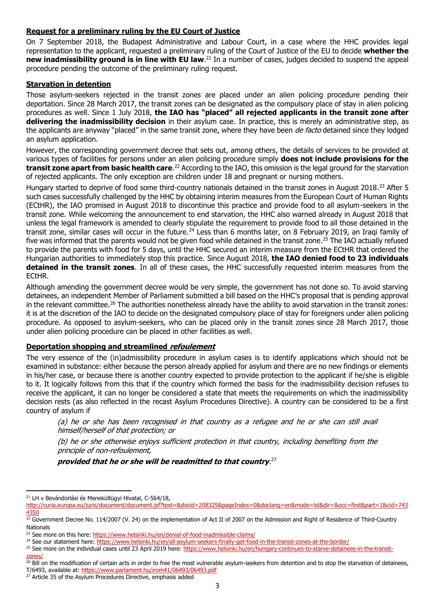# **Request for a preliminary ruling by the EU Court of Justice**

On 7 September 2018, the Budapest Administrative and Labour Court, in a case where the HHC provides legal representation to the applicant, requested a preliminary ruling of the Court of Justice of the EU to decide **whether the new inadmissibility ground is in line with EU law**. <sup>21</sup> In a number of cases, judges decided to suspend the appeal procedure pending the outcome of the preliminary ruling request.

#### **Starvation in detention**

Those asylum-seekers rejected in the transit zones are placed under an alien policing procedure pending their deportation. Since 28 March 2017, the transit zones can be designated as the compulsory place of stay in alien policing procedures as well. Since 1 July 2018, **the IAO has "placed" all rejected applicants in the transit zone after delivering the inadmissibility decision** in their asylum case. In practice, this is merely an administrative step, as the applicants are anyway "placed" in the same transit zone, where they have been de facto detained since they lodged an asylum application.

However, the corresponding government decree that sets out, among others, the details of services to be provided at various types of facilities for persons under an alien policing procedure simply **does not include provisions for the transit zone apart from basic health care**.<sup>22</sup> According to the IAO, this omission is the legal ground for the starvation of rejected applicants. The only exception are children under 18 and pregnant or nursing mothers.

Hungary started to deprive of food some third-country nationals detained in the transit zones in August 2018.<sup>23</sup> After 5 such cases successfully challenged by the HHC by obtaining interim measures from the European Court of Human Rights (ECtHR), the IAO promised in August 2018 to discontinue this practice and provide food to all asylum-seekers in the transit zone. While welcoming the announcement to end starvation, the HHC also warned already in August 2018 that unless the legal framework is amended to clearly stipulate the requirement to provide food to all those detained in the transit zone, similar cases will occur in the future.<sup>24</sup> Less than 6 months later, on 8 February 2019, an Iraqi family of five was informed that the parents would not be given food while detained in the transit zone.<sup>25</sup> The IAO actually refused to provide the parents with food for 5 days, until the HHC secured an interim measure from the ECtHR that ordered the Hungarian authorities to immediately stop this practice. Since August 2018, **the IAO denied food to 23 individuals detained in the transit zones**. In all of these cases, the HHC successfully requested interim measures from the ECtHR.

Although amending the government decree would be very simple, the government has not done so. To avoid starving detainees, an independent Member of Parliament submitted a bill based on the HHC's proposal that is pending approval in the relevant committee.<sup>26</sup> The authorities nonetheless already have the ability to avoid starvation in the transit zones: it is at the discretion of the IAO to decide on the designated compulsory place of stay for foreigners under alien policing procedure. As opposed to asylum-seekers, who can be placed only in the transit zones since 28 March 2017, those under alien policing procedure can be placed in other facilities as well.

#### **Deportation shopping and streamlined refoulement**

The very essence of the (in)admissibility procedure in asylum cases is to identify applications which should not be examined in substance: either because the person already applied for asylum and there are no new findings or elements in his/her case, or because there is another country expected to provide protection to the applicant if he/she is eligible to it. It logically follows from this that if the country which formed the basis for the inadmissibility decision refuses to receive the applicant, it can no longer be considered a state that meets the requirements on which the inadmissibility decision rests (as also reflected in the recast Asylum Procedures Directive). A country can be considered to be a first country of asylum if

(a) he or she has been recognised in that country as a refugee and he or she can still avail himself/herself of that protection; or

(b) he or she otherwise enjoys sufficient protection in that country, including benefiting from the principle of non-refoulement,

**provided that he or she will be readmitted to that country**. 27

<sup>1</sup> <sup>21</sup> LH v Bevándorlási és Menekültügyi Hivatal, C-564/18,

[http://curia.europa.eu/juris/document/document.jsf?text=&docid=208325&pageIndex=0&doclang=en&mode=lst&dir=&occ=first&part=1&cid=743](http://curia.europa.eu/juris/document/document.jsf?text=&docid=208325&pageIndex=0&doclang=en&mode=lst&dir=&occ=first&part=1&cid=7434350) [4350](http://curia.europa.eu/juris/document/document.jsf?text=&docid=208325&pageIndex=0&doclang=en&mode=lst&dir=&occ=first&part=1&cid=7434350)

<sup>22</sup> Government Decree No. 114/2007 (V. 24) on the implementation of Act II of 2007 on the Admission and Right of Residence of Third-Country Nationals

<sup>&</sup>lt;sup>23</sup> See more on this here:<https://www.helsinki.hu/en/denial-of-food-inadmissible-claims/>

<sup>&</sup>lt;sup>24</sup> See our statement here:<https://www.helsinki.hu/en/all-asylum-seekers-finally-get-food-in-the-transit-zones-at-the-border/>

<sup>&</sup>lt;sup>25</sup> See more on the individual cases until 23 April 2019 here: [https://www.helsinki.hu/en/hungary-continues-to-starve-detainees-in-the-transit](https://www.helsinki.hu/en/hungary-continues-to-starve-detainees-in-the-transit-zones/)[zones/](https://www.helsinki.hu/en/hungary-continues-to-starve-detainees-in-the-transit-zones/)

 $\frac{26}{10}$  Bill on the modification of certain acts in order to free the most vulnerable asylum-seekers from detention and to stop the starvation of detainees, T/6493, available at[: https://www.parlament.hu/irom41/06493/06493.pdf](https://www.parlament.hu/irom41/06493/06493.pdf)

<sup>&</sup>lt;sup>27</sup> Article 35 of the Asylum Procedures Directive, emphasis added